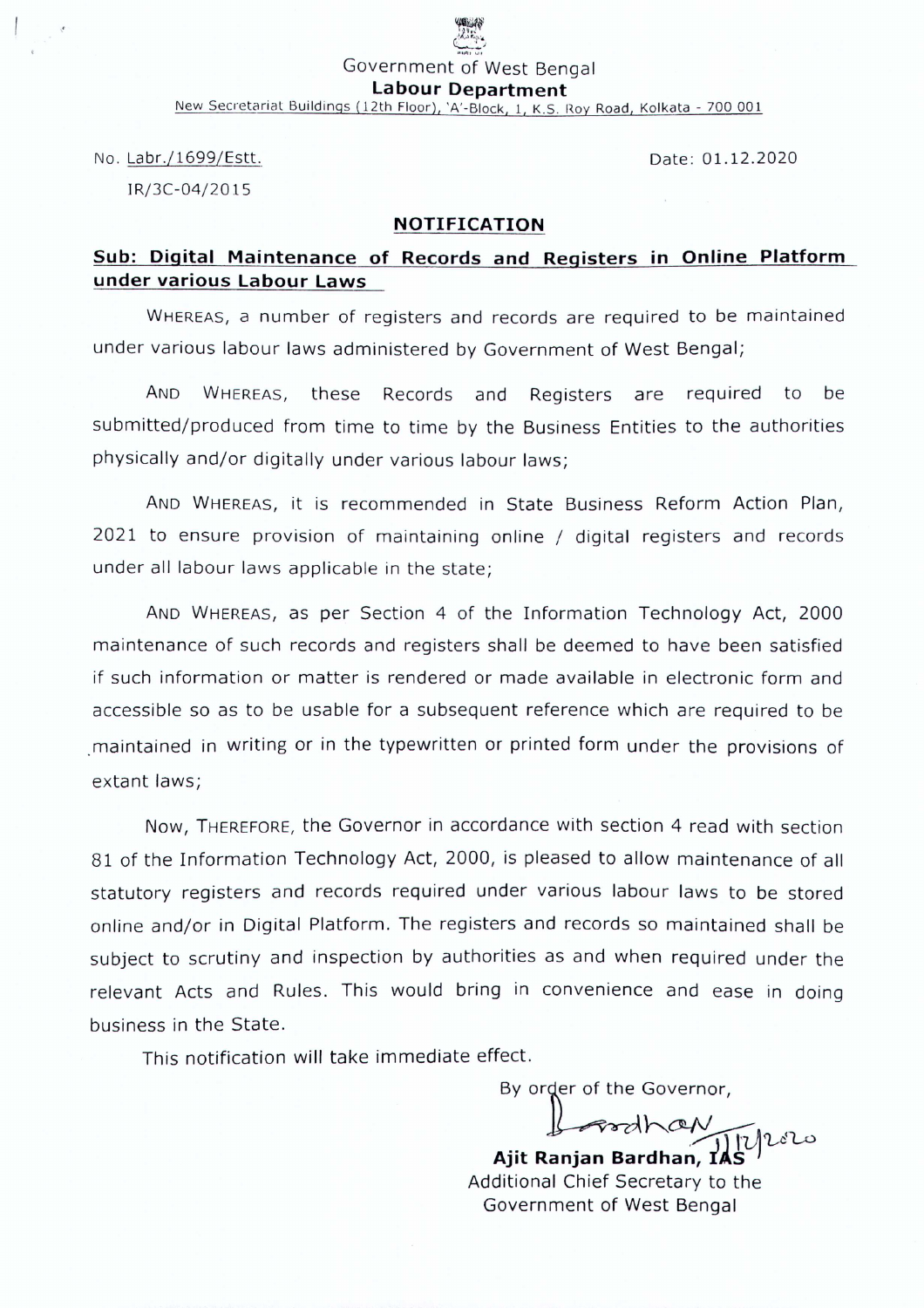# $\frac{1}{\sqrt{2}}$ Government of West Bengal

 $~^{\prime\prime}$ 

**Labour Department**

New Secretariat Buildings (12th Floor), 'A'-Block, 1, K.S. Roy Road, Kolkata - 700 001

No. Labr./1699/Estt.

Date: 01.12.2020

IRj3C-04/20 15

### **NOTIFICATION**

## **Sub: Digital Maintenance of Records and Registers in Online Platform under various Labour Laws**

WHEREAS, a number of registers and records are required to be maintained under various labour laws administered by Government of West Bengal;

AND WHEREAS, these Records and Registers are required to be submitted/produced from time to time by the Business Entities to the authorities phvsicallv and/or digitally under various labour laws;

AND WHEREAS, it is recommended in State Business Reform Action Plan, 2021 to ensure provision of maintaining online / digital registers and records under all labour laws applicable in the state;

AND WHEREAS, as per Section 4 of the Information Technology Act, 2000 maintenance of such records and registers shall be deemed to have been satisfied if such information or matter is rendered or made available in electronic form and accessible so as to be usable for a subsequent reference which are required to be maintained in writing or in the typewritten or printed form under the provisions of extant laws;

Now, THEREFORE, the Governor in accordance with section 4 read with section 81 of the Information Technology Act, 2000, is pleased to allow maintenance of all statutory registers and records required under various labour laws to be stored online and/or in Digital Platform. The registers and records so maintained shall be subject to scrutiny and inspection by authorities as and when required under the relevant Acts and Rules. This would bring in convenience and ease in doing business in the State.

This notification will take immediate effect.

By order of the Governor,

 $\rightarrow$ **Ajit Ranjan** Bar'dh.an, *il~*

Additional Chief Secretary to the Government of West Bengal